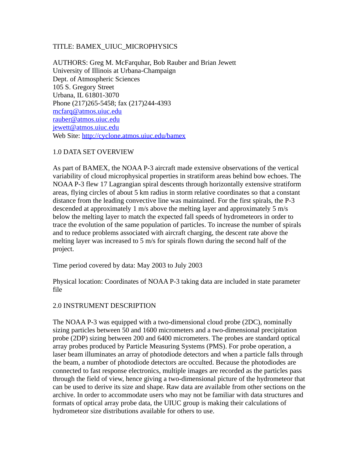## TITLE: BAMEX\_UIUC\_MICROPHYSICS

AUTHORS: Greg M. McFarquhar, Bob Rauber and Brian Jewett University of Illinois at Urbana-Champaign Dept. of Atmospheric Sciences 105 S. Gregory Street Urbana, IL 61801-3070 Phone (217)265-5458; fax (217)244-4393 [mcfarq@atmos.uiuc.edu](mailto:mcfarq@atmos.uiuc.edu) [rauber@atmos.uiuc.edu](mailto:rauber@atmos.uiuc.edu) [jewett@atmos.uiuc.edu](mailto:jewett@atmos.uiuc.edu) Web Site:<http://cyclone.atmos.uiuc.edu/bamex>

## 1.0 DATA SET OVERVIEW

As part of BAMEX, the NOAA P-3 aircraft made extensive observations of the vertical variability of cloud microphysical properties in stratiform areas behind bow echoes. The NOAA P-3 flew 17 Lagrangian spiral descents through horizontally extensive stratiform areas, flying circles of about 5 km radius in storm relative coordinates so that a constant distance from the leading convective line was maintained. For the first spirals, the P-3 descended at approximately 1 m/s above the melting layer and approximately 5 m/s below the melting layer to match the expected fall speeds of hydrometeors in order to trace the evolution of the same population of particles. To increase the number of spirals and to reduce problems associated with aircraft charging, the descent rate above the melting layer was increased to 5 m/s for spirals flown during the second half of the project.

Time period covered by data: May 2003 to July 2003

Physical location: Coordinates of NOAA P-3 taking data are included in state parameter file

#### 2.0 INSTRUMENT DESCRIPTION

The NOAA P-3 was equipped with a two-dimensional cloud probe (2DC), nominally sizing particles between 50 and 1600 micrometers and a two-dimensional precipitation probe (2DP) sizing between 200 and 6400 micrometers. The probes are standard optical array probes produced by Particle Measuring Systems (PMS). For probe operation, a laser beam illuminates an array of photodiode detectors and when a particle falls through the beam, a number of photodiode detectors are occulted. Because the photodiodes are connected to fast response electronics, multiple images are recorded as the particles pass through the field of view, hence giving a two-dimensional picture of the hydrometeor that can be used to derive its size and shape. Raw data are available from other sections on the archive. In order to accommodate users who may not be familiar with data structures and formats of optical array probe data, the UIUC group is making their calculations of hydrometeor size distributions available for others to use.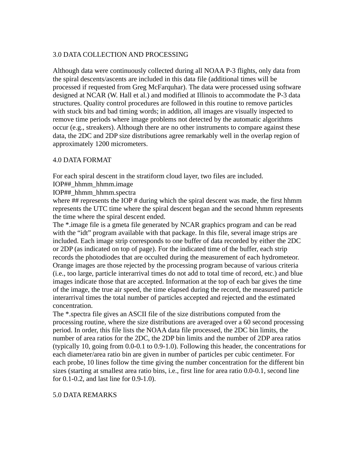# 3.0 DATA COLLECTION AND PROCESSING

Although data were continuously collected during all NOAA P-3 flights, only data from the spiral descents/ascents are included in this data file (additional times will be processed if requested from Greg McFarquhar). The data were processed using software designed at NCAR (W. Hall et al.) and modified at Illinois to accommodate the P-3 data structures. Quality control procedures are followed in this routine to remove particles with stuck bits and bad timing words; in addition, all images are visually inspected to remove time periods where image problems not detected by the automatic algorithms occur (e.g., streakers). Although there are no other instruments to compare against these data, the 2DC and 2DP size distributions agree remarkably well in the overlap region of approximately 1200 micrometers.

## 4.0 DATA FORMAT

For each spiral descent in the stratiform cloud layer, two files are included.

- IOP##\_hhmm\_hhmm.image
- IOP##\_hhmm\_hhmm.spectra

where  $\#$  represents the IOP  $\#$  during which the spiral descent was made, the first hhmm represents the UTC time where the spiral descent began and the second hhmm represents the time where the spiral descent ended.

The \*.image file is a gmeta file generated by NCAR graphics program and can be read with the "idt" program available with that package. In this file, several image strips are included. Each image strip corresponds to one buffer of data recorded by either the 2DC or 2DP (as indicated on top of page). For the indicated time of the buffer, each strip records the photodiodes that are occulted during the measurement of each hydrometeor. Orange images are those rejected by the processing program because of various criteria (i.e., too large, particle interarrival times do not add to total time of record, etc.) and blue images indicate those that are accepted. Information at the top of each bar gives the time of the image, the true air speed, the time elapsed during the record, the measured particle interarrival times the total number of particles accepted and rejected and the estimated concentration.

The \*.spectra file gives an ASCII file of the size distributions computed from the processing routine, where the size distributions are averaged over a 60 second processing period. In order, this file lists the NOAA data file processed, the 2DC bin limits, the number of area ratios for the 2DC, the 2DP bin limits and the number of 2DP area ratios (typically 10, going from 0.0-0.1 to 0.9-1.0). Following this header, the concentrations for each diameter/area ratio bin are given in number of particles per cubic centimeter. For each probe, 10 lines follow the time giving the number concentration for the different bin sizes (starting at smallest area ratio bins, i.e., first line for area ratio 0.0-0.1, second line for 0.1-0.2, and last line for 0.9-1.0).

## 5.0 DATA REMARKS